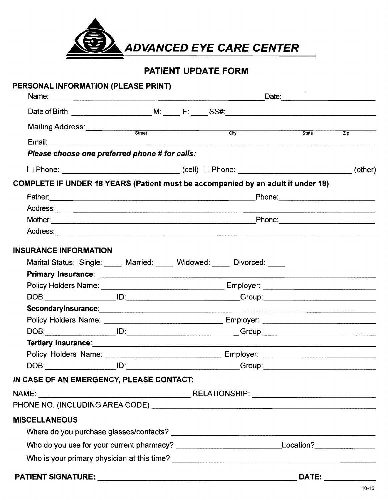

# PATIENT UPDATE FORM

| PERSONAL INFORMATION (PLEASE PRINT)                                                                           |  |       |                  |
|---------------------------------------------------------------------------------------------------------------|--|-------|------------------|
|                                                                                                               |  |       |                  |
| Mailing Address: Street City City                                                                             |  |       |                  |
|                                                                                                               |  | State | $\overline{Zip}$ |
| Please choose one preferred phone # for calls:                                                                |  |       |                  |
|                                                                                                               |  |       |                  |
| COMPLETE IF UNDER 18 YEARS (Patient must be accompanied by an adult if under 18)                              |  |       |                  |
|                                                                                                               |  |       |                  |
|                                                                                                               |  |       |                  |
|                                                                                                               |  |       |                  |
| Address: 2008. 2008. 2009. 2009. 2010. 2010. 2010. 2010. 2010. 2010. 2010. 2010. 2010. 2010. 2010. 2010. 2010 |  |       |                  |
| <b>INSURANCE INFORMATION</b>                                                                                  |  |       |                  |
| Marital Status: Single: Married: Widowed: Divorced: Universed:                                                |  |       |                  |
|                                                                                                               |  |       |                  |
|                                                                                                               |  |       |                  |
|                                                                                                               |  |       |                  |
|                                                                                                               |  |       |                  |
|                                                                                                               |  |       |                  |
|                                                                                                               |  |       |                  |
|                                                                                                               |  |       |                  |
|                                                                                                               |  |       |                  |
|                                                                                                               |  |       |                  |
| IN CASE OF AN EMERGENCY, PLEASE CONTACT:                                                                      |  |       |                  |
|                                                                                                               |  |       |                  |
|                                                                                                               |  |       |                  |
| <b>MISCELLANEOUS</b>                                                                                          |  |       |                  |
|                                                                                                               |  |       |                  |
| Who do you use for your current pharmacy? __________________________________Location?_______________          |  |       |                  |
|                                                                                                               |  |       |                  |
|                                                                                                               |  |       |                  |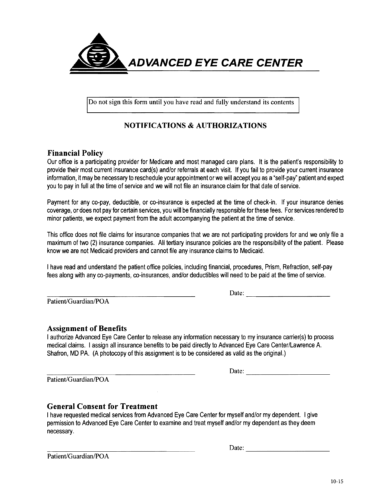

Do not sign this form until you have read and fully understand its contents

## **NOTIFICATIONS & AUTHORIZATIONS**

### **Financial Policy**

Our office is a participating provider for Medicare and most managed care plans. It is the patient's responsibility to provide their most current insurance card(s) and/or referrals at each visit. If you fail to provide your current insurance information, it may be necessary to reschedule your appointment or we will accept you as a"self-pay" patient and expect you to pay in full at the time of service and we will not file an insurance claim for that date of service.

Payment for any co-pay, deductible, or co-insurance is expected at the time of check-in. If your insurance denies coverage, or does not pay for certain services, you will be financially responsible for these fees. For services rendered to minor patients, we expect payment from the adult accompanying the patient at the time of service.

This office does not file claims for insurance companies that we are not participating providers for and we only file a maximum of two (2) insurance companies. All tertiary insurance policies are the responsibility of the patient. Please know we are not Medicaid providers and cannot file any insurance claims to Medicaid.

I have read and understand the patient office policies, including financial, procedures, Prism, Refraction, self-pay fees along with any co-payments, co-insurances, and/or deductibles will need to be paid at the time of service.

Patient/Guardian/POA

-------------------- Date:

#### **Assignment of Benefits**

I authorize Advanced Eye Care Center to release any information necessary to my insurance carrier{s) to process medical claims. I assign all insurance benefits to be paid directly to Advanced Eye Care Center/Lawrence A. Shafron, MD PA. (A photocopy of this assignment is to be considered as valid as the original.)

Patient/Guardian/POA

------------------- Date:

#### **General Consent for Treatment**

I have requested medical services from Advanced Eye Care Center for myself and/or my dependent. I give permission to Advanced Eye Care Center to examine and treat myself and/or my dependent as they deem necessary.

Date:

Patient/Guardian/POA